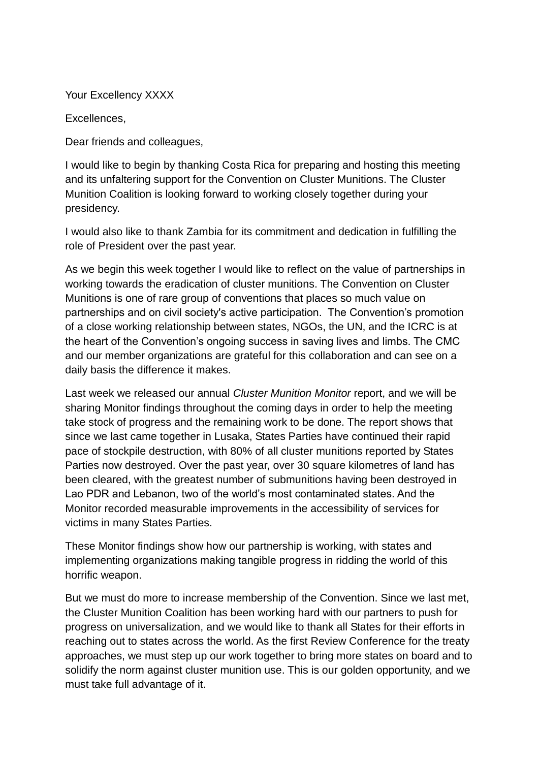Your Excellency XXXX

Excellences,

Dear friends and colleagues,

I would like to begin by thanking Costa Rica for preparing and hosting this meeting and its unfaltering support for the Convention on Cluster Munitions. The Cluster Munition Coalition is looking forward to working closely together during your presidency.

I would also like to thank Zambia for its commitment and dedication in fulfilling the role of President over the past year.

As we begin this week together I would like to reflect on the value of partnerships in working towards the eradication of cluster munitions. The Convention on Cluster Munitions is one of rare group of conventions that places so much value on partnerships and on civil society's active participation. The Convention's promotion of a close working relationship between states, NGOs, the UN, and the ICRC is at the heart of the Convention's ongoing success in saving lives and limbs. The CMC and our member organizations are grateful for this collaboration and can see on a daily basis the difference it makes.

Last week we released our annual *Cluster Munition Monitor* report, and we will be sharing Monitor findings throughout the coming days in order to help the meeting take stock of progress and the remaining work to be done. The report shows that since we last came together in Lusaka, States Parties have continued their rapid pace of stockpile destruction, with 80% of all cluster munitions reported by States Parties now destroyed. Over the past year, over 30 square kilometres of land has been cleared, with the greatest number of submunitions having been destroyed in Lao PDR and Lebanon, two of the world's most contaminated states. And the Monitor recorded measurable improvements in the accessibility of services for victims in many States Parties.

These Monitor findings show how our partnership is working, with states and implementing organizations making tangible progress in ridding the world of this horrific weapon.

But we must do more to increase membership of the Convention. Since we last met, the Cluster Munition Coalition has been working hard with our partners to push for progress on universalization, and we would like to thank all States for their efforts in reaching out to states across the world. As the first Review Conference for the treaty approaches, we must step up our work together to bring more states on board and to solidify the norm against cluster munition use. This is our golden opportunity, and we must take full advantage of it.